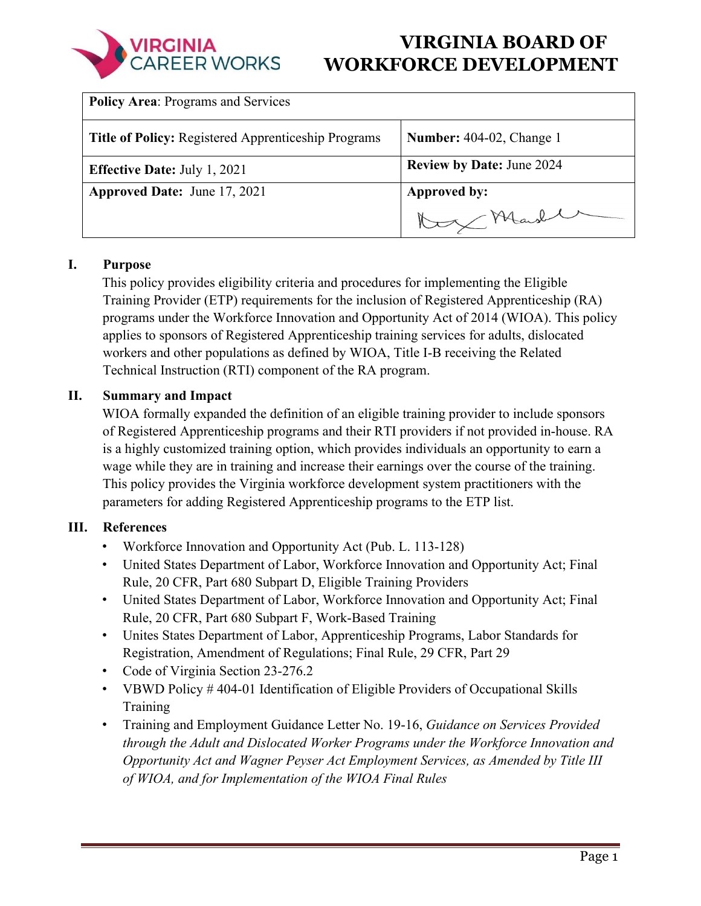| <b>Policy Area: Programs and Services</b>                  |                                  |
|------------------------------------------------------------|----------------------------------|
| <b>Title of Policy:</b> Registered Apprenticeship Programs | <b>Number:</b> 404-02, Change 1  |
| <b>Effective Date: July 1, 2021</b>                        | <b>Review by Date: June 2024</b> |
| <b>Approved Date: June 17, 2021</b>                        | Approved by:                     |
|                                                            | Marsh                            |

### **I. Purpose**

This policy provides eligibility criteria and procedures for implementing the Eligible Training Provider (ETP) requirements for the inclusion of Registered Apprenticeship (RA) programs under the Workforce Innovation and Opportunity Act of 2014 (WIOA). This policy applies to sponsors of Registered Apprenticeship training services for adults, dislocated workers and other populations as defined by WIOA, Title I-B receiving the Related Technical Instruction (RTI) component of the RA program.

### **II. Summary and Impact**

WIOA formally expanded the definition of an eligible training provider to include sponsors of Registered Apprenticeship programs and their RTI providers if not provided in-house. RA is a highly customized training option, which provides individuals an opportunity to earn a wage while they are in training and increase their earnings over the course of the training. This policy provides the Virginia workforce development system practitioners with the parameters for adding Registered Apprenticeship programs to the ETP list.

### **III. References**

- Workforce Innovation and Opportunity Act (Pub. L. 113-128)
- United States Department of Labor, Workforce Innovation and Opportunity Act; Final Rule, 20 CFR, Part 680 Subpart D, Eligible Training Providers
- United States Department of Labor, Workforce Innovation and Opportunity Act; Final Rule, 20 CFR, Part 680 Subpart F, Work-Based Training
- Unites States Department of Labor, Apprenticeship Programs, Labor Standards for Registration, Amendment of Regulations; Final Rule, 29 CFR, Part 29
- Code of Virginia Section 23-276.2
- VBWD Policy #404-01 Identification of Eligible Providers of Occupational Skills Training
- Training and Employment Guidance Letter No. 19-16, *Guidance on Services Provided through the Adult and Dislocated Worker Programs under the Workforce Innovation and Opportunity Act and Wagner Peyser Act Employment Services, as Amended by Title III of WIOA, and for Implementation of the WIOA Final Rules*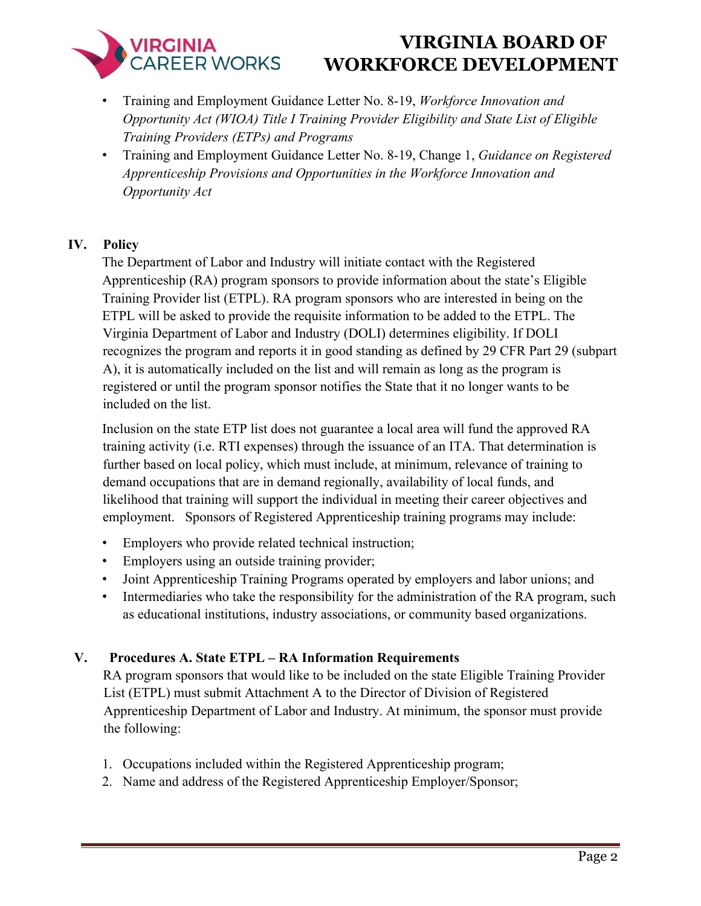- Training and Employment Guidance Letter No. 8-19, *Workforce Innovation and Opportunity Act (WIOA) Title I Training Provider Eligibility and State List of Eligible Training Providers (ETPs) and Programs*
- Training and Employment Guidance Letter No. 8-19, Change 1, *Guidance on Registered Apprenticeship Provisions and Opportunities in the Workforce Innovation and Opportunity Act*

# **IV. Policy**

The Department of Labor and Industry will initiate contact with the Registered Apprenticeship (RA) program sponsors to provide information about the state's Eligible Training Provider list (ETPL). RA program sponsors who are interested in being on the ETPL will be asked to provide the requisite information to be added to the ETPL. The Virginia Department of Labor and Industry (DOLI) determines eligibility. If DOLI recognizes the program and reports it in good standing as defined by 29 CFR Part 29 (subpart A), it is automatically included on the list and will remain as long as the program is registered or until the program sponsor notifies the State that it no longer wants to be included on the list.

Inclusion on the state ETP list does not guarantee a local area will fund the approved RA training activity (i.e. RTI expenses) through the issuance of an ITA. That determination is further based on local policy, which must include, at minimum, relevance of training to demand occupations that are in demand regionally, availability of local funds, and likelihood that training will support the individual in meeting their career objectives and employment. Sponsors of Registered Apprenticeship training programs may include:

- Employers who provide related technical instruction;
- Employers using an outside training provider;
- Joint Apprenticeship Training Programs operated by employers and labor unions; and
- Intermediaries who take the responsibility for the administration of the RA program, such as educational institutions, industry associations, or community based organizations.

### **V. Procedures A. State ETPL – RA Information Requirements**

RA program sponsors that would like to be included on the state Eligible Training Provider List (ETPL) must submit Attachment A to the Director of Division of Registered Apprenticeship Department of Labor and Industry. At minimum, the sponsor must provide the following:

- 1. Occupations included within the Registered Apprenticeship program;
- 2. Name and address of the Registered Apprenticeship Employer/Sponsor;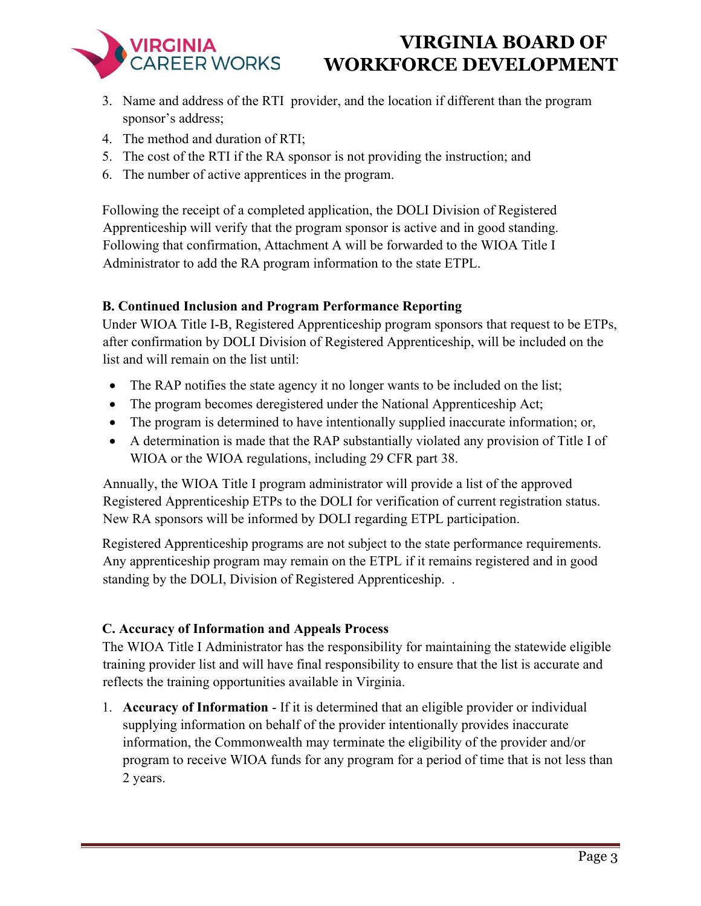

- 3. Name and address of the RTI provider, and the location if different than the program sponsor's address;
- 4. The method and duration of RTI;
- 5. The cost of the RTI if the RA sponsor is not providing the instruction; and
- 6. The number of active apprentices in the program.

Following the receipt of a completed application, the DOLI Division of Registered Apprenticeship will verify that the program sponsor is active and in good standing. Following that confirmation, Attachment A will be forwarded to the WIOA Title I Administrator to add the RA program information to the state ETPL.

# **B. Continued Inclusion and Program Performance Reporting**

Under WIOA Title I-B, Registered Apprenticeship program sponsors that request to be ETPs, after confirmation by DOLI Division of Registered Apprenticeship, will be included on the list and will remain on the list until:

- The RAP notifies the state agency it no longer wants to be included on the list;
- The program becomes deregistered under the National Apprenticeship Act;
- The program is determined to have intentionally supplied inaccurate information; or,
- A determination is made that the RAP substantially violated any provision of Title I of WIOA or the WIOA regulations, including 29 CFR part 38.

Annually, the WIOA Title I program administrator will provide a list of the approved Registered Apprenticeship ETPs to the DOLI for verification of current registration status. New RA sponsors will be informed by DOLI regarding ETPL participation.

Registered Apprenticeship programs are not subject to the state performance requirements. Any apprenticeship program may remain on the ETPL if it remains registered and in good standing by the DOLI, Division of Registered Apprenticeship. .

### **C. Accuracy of Information and Appeals Process**

The WIOA Title I Administrator has the responsibility for maintaining the statewide eligible training provider list and will have final responsibility to ensure that the list is accurate and reflects the training opportunities available in Virginia.

1. **Accuracy of Information** - If it is determined that an eligible provider or individual supplying information on behalf of the provider intentionally provides inaccurate information, the Commonwealth may terminate the eligibility of the provider and/or program to receive WIOA funds for any program for a period of time that is not less than 2 years.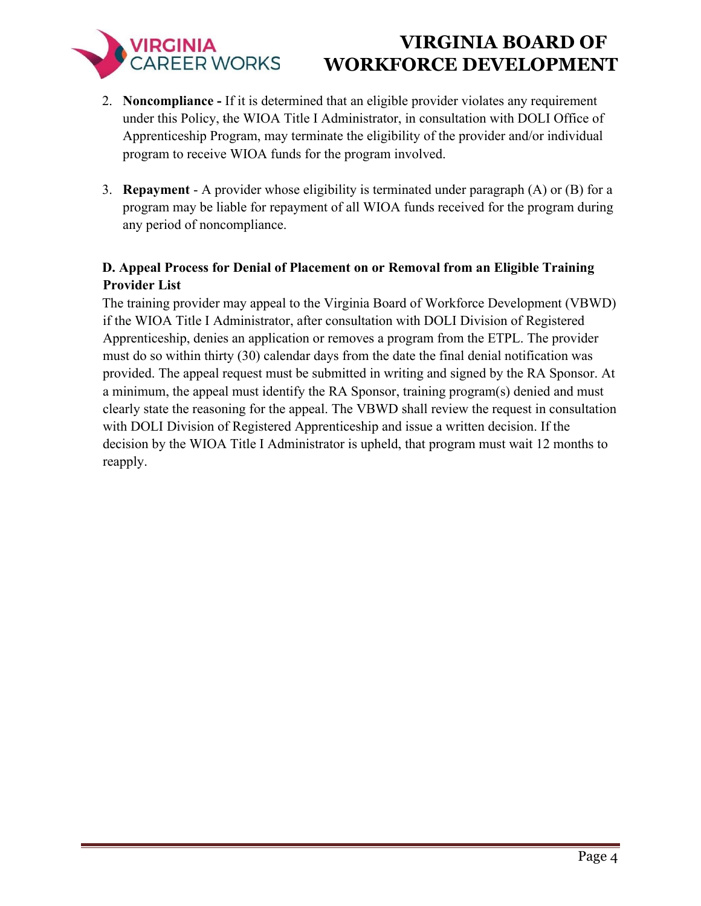- 2. **Noncompliance -** If it is determined that an eligible provider violates any requirement under this Policy, the WIOA Title I Administrator, in consultation with DOLI Office of Apprenticeship Program, may terminate the eligibility of the provider and/or individual program to receive WIOA funds for the program involved.
- 3. **Repayment**  A provider whose eligibility is terminated under paragraph (A) or (B) for a program may be liable for repayment of all WIOA funds received for the program during any period of noncompliance.

# **D. Appeal Process for Denial of Placement on or Removal from an Eligible Training Provider List**

The training provider may appeal to the Virginia Board of Workforce Development (VBWD) if the WIOA Title I Administrator, after consultation with DOLI Division of Registered Apprenticeship, denies an application or removes a program from the ETPL. The provider must do so within thirty (30) calendar days from the date the final denial notification was provided. The appeal request must be submitted in writing and signed by the RA Sponsor. At a minimum, the appeal must identify the RA Sponsor, training program(s) denied and must clearly state the reasoning for the appeal. The VBWD shall review the request in consultation with DOLI Division of Registered Apprenticeship and issue a written decision. If the decision by the WIOA Title I Administrator is upheld, that program must wait 12 months to reapply.